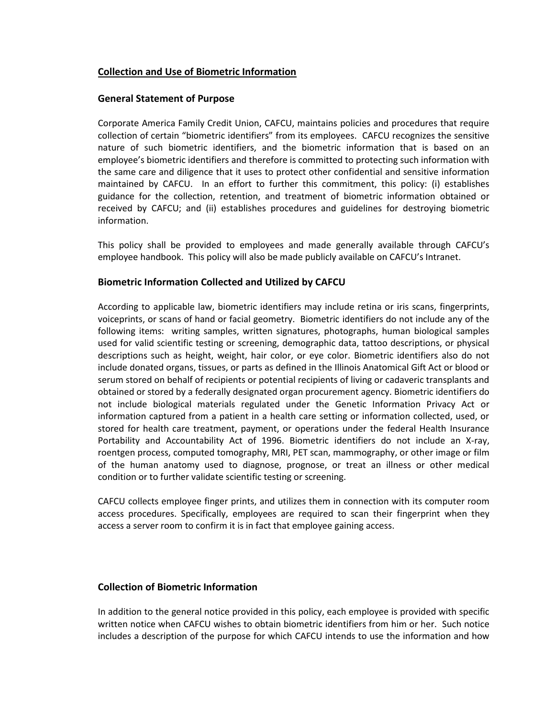# **Collection and Use of Biometric Information**

### **General Statement of Purpose**

Corporate America Family Credit Union, CAFCU, maintains policies and procedures that require collection of certain "biometric identifiers" from its employees. CAFCU recognizes the sensitive nature of such biometric identifiers, and the biometric information that is based on an employee's biometric identifiers and therefore is committed to protecting such information with the same care and diligence that it uses to protect other confidential and sensitive information maintained by CAFCU. In an effort to further this commitment, this policy: (i) establishes guidance for the collection, retention, and treatment of biometric information obtained or received by CAFCU; and (ii) establishes procedures and guidelines for destroying biometric information.

This policy shall be provided to employees and made generally available through CAFCU's employee handbook. This policy will also be made publicly available on CAFCU's Intranet.

# **Biometric Information Collected and Utilized by CAFCU**

According to applicable law, biometric identifiers may include retina or iris scans, fingerprints, voiceprints, or scans of hand or facial geometry. Biometric identifiers do not include any of the following items: writing samples, written signatures, photographs, human biological samples used for valid scientific testing or screening, demographic data, tattoo descriptions, or physical descriptions such as height, weight, hair color, or eye color. Biometric identifiers also do not include donated organs, tissues, or parts as defined in the Illinois Anatomical Gift Act or blood or serum stored on behalf of recipients or potential recipients of living or cadaveric transplants and obtained or stored by a federally designated organ procurement agency. Biometric identifiers do not include biological materials regulated under the Genetic Information Privacy Act or information captured from a patient in a health care setting or information collected, used, or stored for health care treatment, payment, or operations under the federal Health Insurance Portability and Accountability Act of 1996. Biometric identifiers do not include an X-ray, roentgen process, computed tomography, MRI, PET scan, mammography, or other image or film of the human anatomy used to diagnose, prognose, or treat an illness or other medical condition or to further validate scientific testing or screening.

CAFCU collects employee finger prints, and utilizes them in connection with its computer room access procedures. Specifically, employees are required to scan their fingerprint when they access a server room to confirm it is in fact that employee gaining access.

# **Collection of Biometric Information**

In addition to the general notice provided in this policy, each employee is provided with specific written notice when CAFCU wishes to obtain biometric identifiers from him or her. Such notice includes a description of the purpose for which CAFCU intends to use the information and how